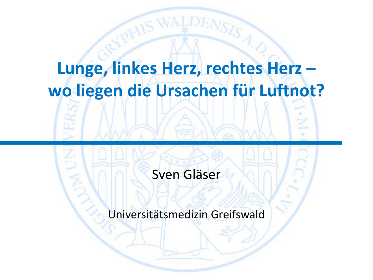### **Lunge, linkes Herz, rechtes Herz – wo liegen die Ursachen für Luftnot?**

### Sven Gläser

Universitätsmedizin Greifswald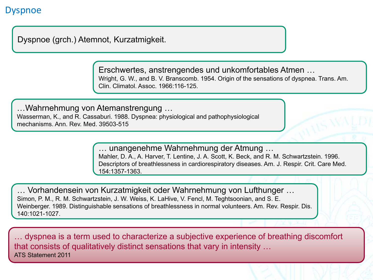#### Dyspnoe

Dyspnoe (grch.) Atemnot, Kurzatmigkeit.

Erschwertes, anstrengendes und unkomfortables Atmen … Wright, G. W., and B. V. Branscomb. 1954. Origin of the sensations of dyspnea. Trans. Am. Clin. Climatol. Assoc. 1966:116-125.

…Wahrnehmung von Atemanstrengung … Wasserman, K., and R. Cassaburi. 1988. Dyspnea: physiological and pathophysiological

mechanisms. Ann. Rev. Med. 39503-515

… unangenehme Wahrnehmung der Atmung … Mahler, D. A., A. Harver, T. Lentine, J. A. Scott, K. Beck, and R. M. Schwartzstein. 1996. Descriptors of breathlessness in cardiorespiratory diseases. Am. J. Respir. Crit. Care Med. 154:1357-1363.

… Vorhandensein von Kurzatmigkeit oder Wahrnehmung von Lufthunger … Simon, P. M., R. M. Schwartzstein, J. W. Weiss, K. LaHive, V. Fencl, M. Teghtsoonian, and S. E. Weinberger. 1989. Distinguishable sensations of breathlessness in normal volunteers. Am. Rev. Respir. Dis. 140:1021-1027.

… dyspnea is a term used to characterize a subjective experience of breathing discomfort that consists of qualitatively distinct sensations that vary in intensity … ATS Statement 2011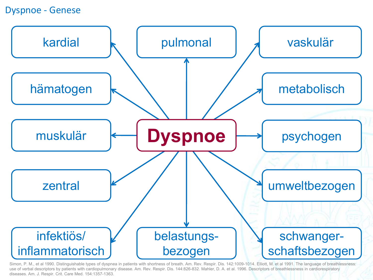#### Dyspnoe - Genese



Simon, P. M., et al 1990. Distinguishable types of dyspnea in patients with shortness of breath. Am. Rev. Respir. Dis. 142:1009-1014. Elliott, M. et al 1991. The language of breathlessness: use of verbal descriptors by patients with cardiopulmonary disease. Am. Rev. Respir. Dis. 144:826-832. Mahler, D. A. et al. 1996. Descriptors of breathlessness in cardiorespiratory diseases. Am. J. Respir. Crit. Care Med. 154:1357-1363.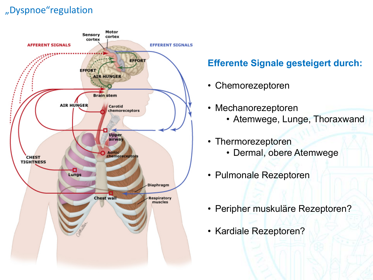#### "Dyspnoe"regulation



### **Efferente Signale gesteigert durch:**

- Chemorezeptoren
- Mechanorezeptoren
	- Atemwege, Lunge, Thoraxwand
- Thermorezeptoren
	- Dermal, obere Atemwege
- Pulmonale Rezeptoren
- Peripher muskuläre Rezeptoren?
- Kardiale Rezeptoren?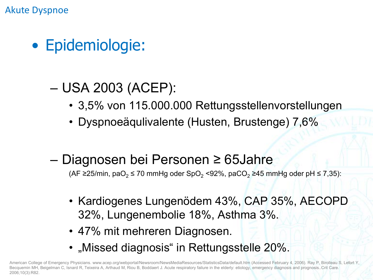Akute Dyspnoe

- Epidemiologie:
	- USA 2003 (ACEP):
		- 3,5% von 115.000.000 Rettungsstellenvorstellungen
		- Dyspnoeäqulivalente (Husten, Brustenge) 7,6%
	- Diagnosen bei Personen ≥ 65Jahre

(AF ≥25/min, paO<sub>2</sub> ≤ 70 mmHg oder SpO<sub>2</sub> <92%, paCO<sub>2</sub> ≥45 mmHg oder pH ≤ 7,35):

- Kardiogenes Lungenödem 43%, CAP 35%, AECOPD 32%, Lungenembolie 18%, Asthma 3%.
- 47% mit mehreren Diagnosen.
- "Missed diagnosis" in Rettungsstelle 20%.

American College of Emergency Physicians. www.acep.org/webportal/Newsroom/NewsMediaResources/StatisticsData/default.htm (Accessed February 4, 2006). Ray P, Birolleau S, Lefort Y Becquemin MH, Beigelman C, Isnard R, Teixeira A, Arthaud M, Riou B, Boddaert J. Acute respiratory failure in the elderly: etiology, emergency diagnosis and prognosis..Crit Care. 2006;10(3):R82.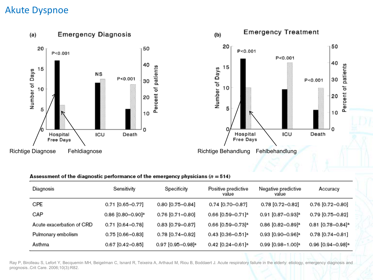#### Akute Dyspnoe



#### Assessment of the diagnostic performance of the emergency physicians ( $n = 514$ )

| Diagnosis                 | Sensitivity                   | Specificity                   | Positive predictive<br>value    | Negative predictive<br>value    | Accuracy                        |
|---------------------------|-------------------------------|-------------------------------|---------------------------------|---------------------------------|---------------------------------|
| CPE                       | $0.71$ [0.65-0.77]            | 0.80 [0.75-0.84]              | 0.74 [0.70-0.87]                | 0.78 [0.72-0.82]                | 0.76 [0.72-0.80]                |
| CAP                       | 0.86 [0.80-0.90] <sup>a</sup> | $0.76$ [0.71-0.80]            | 0.66 [0.59-0.71] <sup>a</sup>   | $0.91$ [0.87-0.93] <sup>a</sup> | 0.79 [0.75-0.82]                |
| Acute exacerbation of CRD | 0.71 [0.64-0.78]              | 0.83 [0.79-0.87]              | 0.66 [0.59-0.73] <sup>a</sup>   | $0.86$ [0.82-0.89] <sup>a</sup> | $0.81$ [0.78-0.84] <sup>a</sup> |
| Pulmonary embolism        | 0.75 [0.66-0.83]              | 0.78 [0.74-0.82]              | $0.43$ [0.36-0.51] <sup>a</sup> | $0.93$ [0.90-0.96] <sup>a</sup> | $0.78$ [0.74-0.81]              |
| Asthma                    | 0.67 [0.42-0.85]              | 0.97 [0.95-0.98] <sup>a</sup> | 0.42 [0.24-0.61] <sup>a</sup>   | 0.99 [0.98-1.00] <sup>a</sup>   | 0.96 [0.94-0.98] <sup>a</sup>   |

Ray P, Birolleau S, Lefort Y, Becquemin MH, Beigelman C, Isnard R, Teixeira A, Arthaud M, Riou B, Boddaert J. Acute respiratory failure in the elderly: etiology, emergency diagnosis and prognosis..Crit Care. 2006;10(3):R82.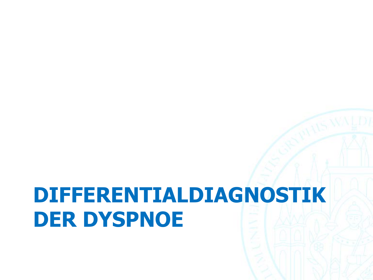## **DIFFERENTIALDIAGNOSTIK DER DYSPNOE**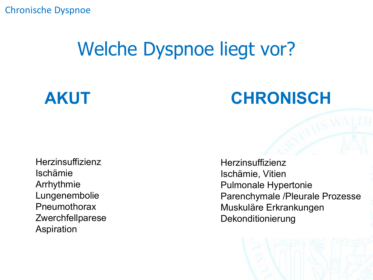### Welche Dyspnoe liegt vor?

### **AKUT CHRONISCH**

**Herzinsuffizienz** Ischämie Arrhythmie Lungenembolie Pneumothorax Zwerchfellparese Aspiration

Herzinsuffizienz Ischämie, Vitien Pulmonale Hypertonie Parenchymale /Pleurale Prozesse Muskuläre Erkrankungen Dekonditionierung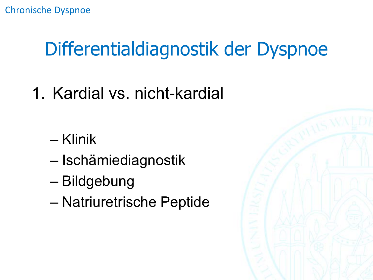## Differentialdiagnostik der Dyspnoe

- 1. Kardial vs. nicht-kardial
	- Klinik
	- Ischämiediagnostik
	- Bildgebung
	- Natriuretrische Peptide

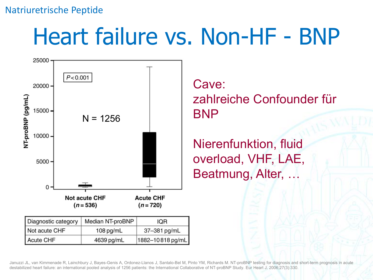#### Natriuretrische Peptide

## Heart failure vs. Non-HF - BNP



| Diagnostic category | Median NT-proBNP | IOR              |  |
|---------------------|------------------|------------------|--|
| Not acute CHF       | $108$ pg/mL      | 37-381 pg/mL     |  |
| Acute CHF           | 4639 pg/mL       | 1882-10818 pg/mL |  |

Cave: zahlreiche Confounder für BNP

Nierenfunktion, fluid overload, VHF, LAE, Beatmung, Alter, …

Januzzi JL, van Kimmenade R, Lainchbury J, Bayes-Genis A, Ordonez-Llanos J, Santalo-Bel M, Pinto YM, Richards M. NT-proBNP testing for diagnosis and short-term prognosis in acute destabilized heart failure: an international pooled analysis of 1256 patients: the International Collaborative of NT-proBNP Study. Eur Heart J. 2006;27(3):330.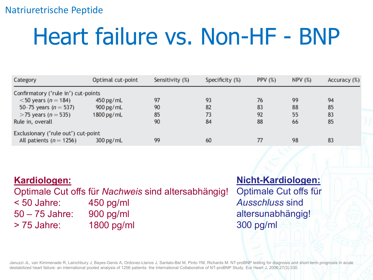#### Natriuretrische Peptide

# Heart failure vs. Non-HF - BNP

| Category                            | Optimal cut-point | Sensitivity (%) | Specificity (%) | PPV $(%)$ | <b>NPV (%)</b> | Accuracy (%) |
|-------------------------------------|-------------------|-----------------|-----------------|-----------|----------------|--------------|
| Confirmatory ('rule in') cut-points |                   |                 |                 |           |                |              |
| $<$ 50 years ( <i>n</i> = 184)      | $450$ pg/mL       | 97              | 93              | 76        | 99             | 94           |
| 50-75 years ( $n = 537$ )           | $900$ pg/mL       | 90              | 82              | 83        | 88             | 85           |
| $>$ 75 years ( <i>n</i> = 535)      | $1800$ pg/mL      | 85              | 73              | 92        | 55             | 83           |
| Rule in, overall                    |                   | 90              | 84              | 88        | 66             | 85           |
| Exclusionary ('rule out') cut-point |                   |                 |                 |           |                |              |
| All patients ( $n = 1256$ )         | $300$ pg/mL       | 99              | 60              | 77        | 98             | 83           |

#### **Kardiologen:** Optimale Cut offs für *Nachweis* sind altersabhängig! < 50 Jahre: 450 pg/ml 50 – 75 Jahre: 900 pg/ml > 75 Jahre: 1800 pg/ml

### **Nicht-Kardiologen:**

Optimale Cut offs für *Ausschluss* sind altersunabhängig! 300 pg/ml

Januzzi JL, van Kimmenade R, Lainchbury J, Bayes-Genis A, Ordonez-Llanos J, Santalo-Bel M, Pinto YM, Richards M. NT-proBNP testing for diagnosis and short-term prognosis in acute destabilized heart failure: an international pooled analysis of 1256 patients: the International Collaborative of NT-proBNP Study. Eur Heart J. 2006;27(3):330.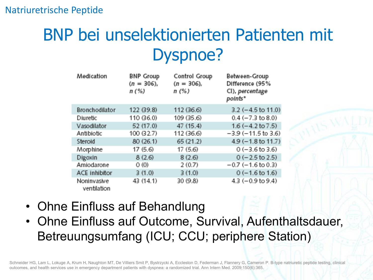### BNP bei unselektionierten Patienten mit Dyspnoe?

| Medication                 | <b>BNP Group</b><br>$(n = 306)$ ,<br>n(%) | Control Group<br>$(n = 306)$ ,<br>n(%) | <b>Between-Group</b><br>Difference (95%<br>CI), percentage<br>points" |
|----------------------------|-------------------------------------------|----------------------------------------|-----------------------------------------------------------------------|
| Bronchodilator             | 122 (39.8)                                | 112 (36.6)                             | $3.2$ (-4.5 to 11.0)                                                  |
| <b>Diuretic</b>            | 110 (36.0)                                | 109 (35.6)                             | $0.4 (-7.3 \text{ to } 8.0)$                                          |
| Vasodilator                | 52 (17.0)                                 | 47 (15.4)                              | $1.6 (-4.2 \text{ to } 7.5)$                                          |
| Antibiotic                 | 100 (32.7)                                | 112 (36.6)                             | $-3.9$ ( $-11.5$ to 3.6)                                              |
| Steroid                    | 80 (26.1)                                 | 65 (21.2)                              | $4.9$ (-1.8 to 11.7)                                                  |
| Morphine                   | 17(5.6)                                   | 17(5.6)                                | $0 (-3.6 \text{ to } 3.6)$                                            |
| Digoxin                    | 8(2.6)                                    | 8(2.6)                                 | $0$ (-2.5 to 2.5)                                                     |
| Amiodarone                 | 0(0)                                      | 2(0.7)                                 | $-0.7$ ( $-1.6$ to 0.3)                                               |
| <b>ACE inhibitor</b>       | 3(1.0)                                    | 3(1.0)                                 | $0$ (-1.6 to 1.6)                                                     |
| Noninvasive<br>ventilation | 43 (14.1)                                 | 30 (9.8)                               | $4.3 (-0.9 to 9.4)$                                                   |

- Ohne Einfluss auf Behandlung
- Ohne Einfluss auf Outcome, Survival, Aufenthaltsdauer, Betreuungsumfang (ICU; CCU; periphere Station)

Schneider HG, Lam L, Lokuge A, Krum H, Naughton MT, De Villiers Smit P, Bystrzycki A, Eccleston D, Federman J, Flannery G, Cameron P. B-type natriuretic peptide testing, clinical outcomes, and health services use in emergency department patients with dyspnea: a randomized trial. Ann Intern Med. 2009;150(6):365.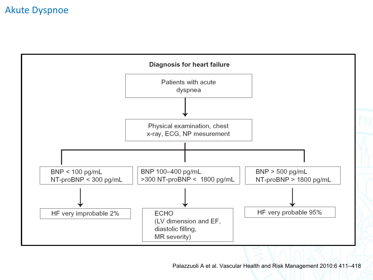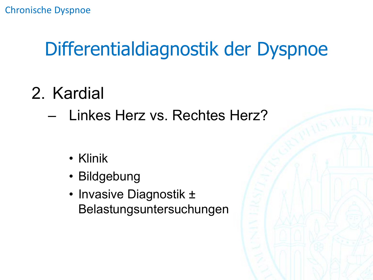### Differentialdiagnostik der Dyspnoe

- 2. Kardial
	- Linkes Herz vs. Rechtes Herz?
		- Klinik
		- Bildgebung
		- Invasive Diagnostik ± Belastungsuntersuchungen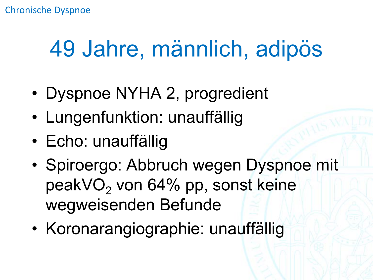## 49 Jahre, männlich, adipös

- Dyspnoe NYHA 2, progredient
- Lungenfunktion: unauffällig
- Echo: unauffällig
- Spiroergo: Abbruch wegen Dyspnoe mit peakVO<sub>2</sub> von 64% pp, sonst keine wegweisenden Befunde
- Koronarangiographie: unauffällig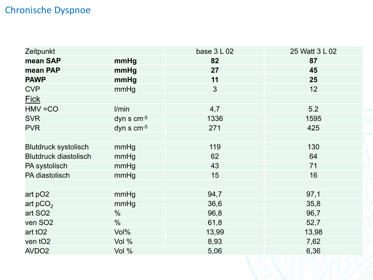| Zeitpunkt                    |               | base $3L02$ | 25 Watt 3 L 02 |
|------------------------------|---------------|-------------|----------------|
| mean SAP                     | mmHg          | 82          | 87             |
| mean PAP                     | mmHg          | 27          | 45             |
| <b>PAWP</b>                  | mmHg          | 11          | 25             |
| <b>CVP</b>                   | mmHg          | 3           | 12             |
| <b>Fick</b>                  |               |             |                |
| $HMV = CO$                   | l/min         | 4,7         | 5.2            |
| <b>SVR</b>                   | dyn s $cm-5$  | 1336        | 1595           |
| <b>PVR</b>                   | dyn s $cm-5$  | 271         | 425            |
|                              |               |             |                |
| <b>Blutdruck systolisch</b>  | mmHg          | 119         | 130            |
| <b>Blutdruck diastolisch</b> | mmHg          | 62          | 64             |
| PA systolisch                | mmHg          | 43          | 71             |
| PA diastolisch               | mmHg          | 15          | 16             |
|                              |               |             |                |
| art pO2                      | mmHg          | 94,7        | 97,1           |
| art pCO <sub>2</sub>         | mmHg          | 36,6        | 35,8           |
| art SO <sub>2</sub>          | $\%$          | 96,8        | 96,7           |
| ven SO <sub>2</sub>          | $\frac{0}{0}$ | 61,8        | 52,7           |
| art tO <sub>2</sub>          | Vol%          | 13,99       | 13,98          |
| ven tO <sub>2</sub>          | Vol %         | 8,93        | 7,62           |
| AVDO <sub>2</sub>            | Vol %         | 5,06        | 6,36           |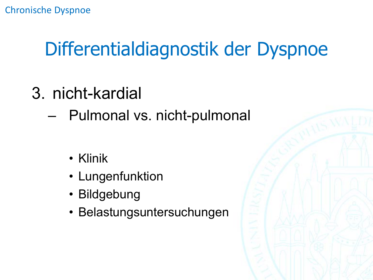## Differentialdiagnostik der Dyspnoe

- 3. nicht-kardial
	- Pulmonal vs. nicht-pulmonal
		- Klinik
		- Lungenfunktion
		- Bildgebung
		- Belastungsuntersuchungen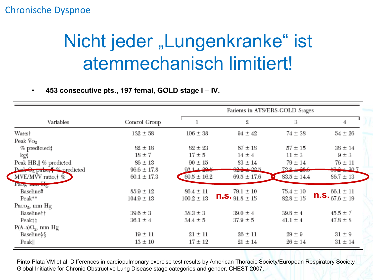### Nicht jeder "Lungenkranke" ist atemmechanisch limitiert!

• **453 consecutive pts., 197 femal, GOLD stage I – IV.**

|                                           |                 | Patients in ATS/ERS-GOLD Stages |                           |                 |                      |
|-------------------------------------------|-----------------|---------------------------------|---------------------------|-----------------|----------------------|
| Variables                                 | Control Group   |                                 | 2                         | 3               | 4                    |
| Watts†                                    | $132 \pm 58$    | $106 \pm 38$                    | $94 \pm 42$               | $74 \pm 38$     | $54 \pm 26$          |
| Peak $\mathrm{Vo}_2$                      |                 |                                 |                           |                 |                      |
| $%$ predicted $\ddagger$                  | $82 \pm 18$     | $82 \pm 23$                     | $67 \pm 18$               | $57 \pm 15$     | $38 \pm 14$          |
| kg≬                                       | $18 \pm 7$      | $17 \pm 5$                      | $14 \pm 4$                | $11 \pm 3$      | $9 \pm 3$            |
| Peak HR,   % predicted                    | $86 \pm 13$     | $90 \pm 15$                     | $83 \pm 14$               | $79 \pm 14$     | $76 \pm 11$          |
| Post $\Theta_2$ pulse, $\alpha$ predicted | $96.6 \pm 17.8$ | $93.1 + 29.5$                   | $62.2 + 99.5$             | $73.8 + 29.6$   | $59.2 + 90.7$        |
| MVE/MVV ratio, † %                        | $60.1 \pm 17.3$ | $69.5 \pm 16.2$                 | $69.5 \pm 17.6$           | $83.5 \pm 14.4$ | $86.7 \pm 13$        |
| Pitog, mm mg                              |                 |                                 |                           |                 |                      |
| Baseline#                                 | $85.9 \pm 12$   | $86.4 \pm 11$                   | $79.1 \pm 10$             | $75.4 \pm 10$   | $66.1 \pm 11$        |
| Peak**                                    | $104.9 \pm 13$  | $100.2 \pm 13$                  | <b>n.s.</b> $91.8 \pm 15$ | $82.8 \pm 15$   | $n.S._{67.6 \pm 19}$ |
| Paco <sub>2</sub> , mm Hg                 |                 |                                 |                           |                 |                      |
| Baseline††                                | $39.6 \pm 3$    | $38.3 \pm 3$                    | $39.0 \pm 4$              | $39.8 \pm 4$    | $45.5 \pm 7$         |
| Peak‡‡                                    | $36.1 \pm 4$    | $34.4 \pm 5$                    | $37.9 \pm 5$              | $41.1 \pm 4$    | $47.8 \pm 8$         |
| $P(A-a)O_2$ , mm Hg                       |                 |                                 |                           |                 |                      |
| Baseline≬§                                | $19 \pm 11$     | $21 \pm 11$                     | $26 \pm 11$               | $29 \pm 9$      | $31 \pm 9$           |
| Peak⊪                                     | $13 \pm 10$     | $17 \pm 12$                     | $21 \pm 14$               | $26 \pm 14$     | $31 \pm 14$          |

Pinto-Plata VM et al. Differences in cardiopulmonary exercise test results by American Thoracic Society/European Respiratory Society-Global Initiative for Chronic Obstructive Lung Disease stage categories and gender. CHEST 2007.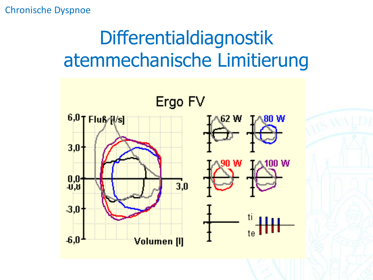## Differentialdiagnostik atemmechanische Limitierung

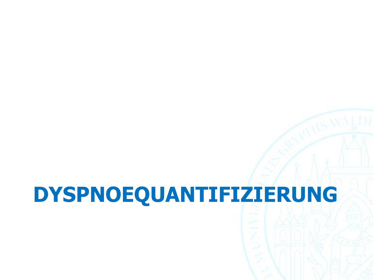## **DYSPNOEQUANTIFIZIERUNG**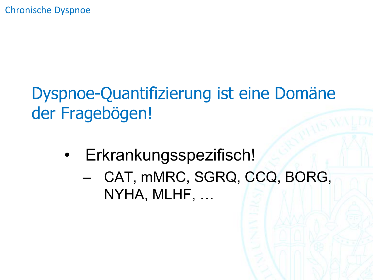### Dyspnoe-Quantifizierung ist eine Domäne der Fragebögen!

- Erkrankungsspezifisch!
	- CAT, mMRC, SGRQ, CCQ, BORG, NYHA, MLHF, …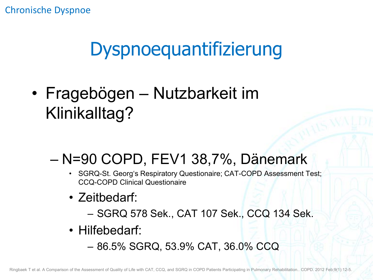### Dyspnoequantifizierung

• Fragebögen – Nutzbarkeit im Klinikalltag?

### – N=90 COPD, FEV1 38,7%, Dänemark

- SGRQ-St. Georg's Respiratory Questionaire; CAT-COPD Assessment Test; CCQ-COPD Clinical Questionaire
- Zeitbedarf:
	- SGRQ 578 Sek., CAT 107 Sek., CCQ 134 Sek.
- Hilfebedarf:
	- 86.5% SGRQ, 53.9% CAT, 36.0% CCQ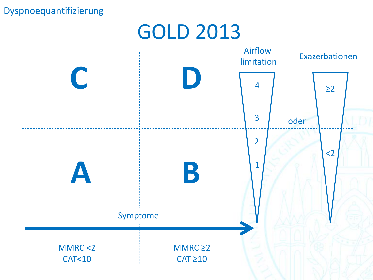#### Dyspnoequantifizierung



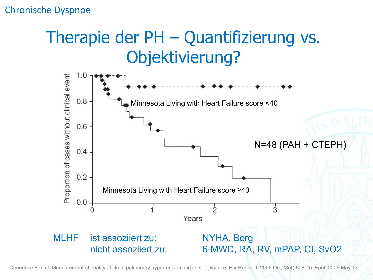### Therapie der PH – Quantifizierung vs. Objektivierung?



Cenedese E et al. Measurement of quality of life in pulmonary hypertension and its significance. Eur Respir J. 2006 Oct;28(4):808-15. Epub 2006 May 17.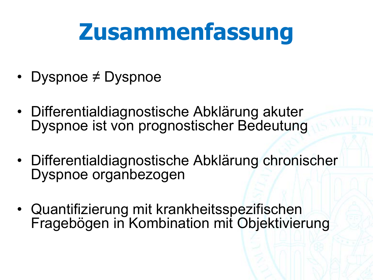## **Zusammenfassung**

- Dyspnoe ≠ Dyspnoe
- Differentialdiagnostische Abklärung akuter Dyspnoe ist von prognostischer Bedeutung
- Differentialdiagnostische Abklärung chronischer Dyspnoe organbezogen
- Quantifizierung mit krankheitsspezifischen Fragebögen in Kombination mit Objektivierung